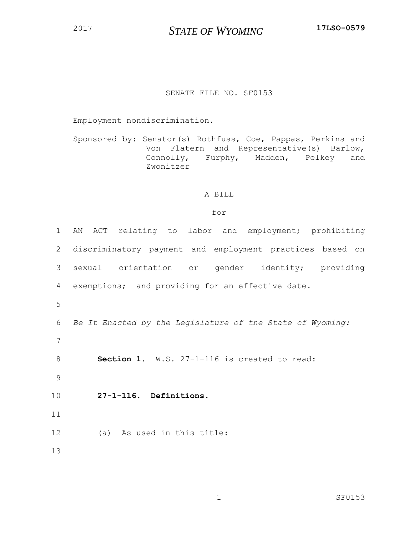*STATE OF WYOMING* **17LSO-0579**

## SENATE FILE NO. SF0153

Employment nondiscrimination.

Sponsored by: Senator(s) Rothfuss, Coe, Pappas, Perkins and Von Flatern and Representative(s) Barlow, Connolly, Furphy, Madden, Pelkey and Zwonitzer

## A BILL

## for

| $\mathbf{1}$ | AN ACT relating to labor and employment; prohibiting      |  |  |
|--------------|-----------------------------------------------------------|--|--|
| 2            | discriminatory payment and employment practices based on  |  |  |
| 3            | sexual orientation or gender identity; providing          |  |  |
| 4            | exemptions; and providing for an effective date.          |  |  |
| 5            |                                                           |  |  |
| 6            | Be It Enacted by the Legislature of the State of Wyoming: |  |  |
| 7            |                                                           |  |  |
| 8            | Section 1. W.S. 27-1-116 is created to read:              |  |  |
| 9            |                                                           |  |  |
| 10           | 27-1-116. Definitions.                                    |  |  |
| 11           |                                                           |  |  |
| 12           | (a) As used in this title:                                |  |  |
| 13           |                                                           |  |  |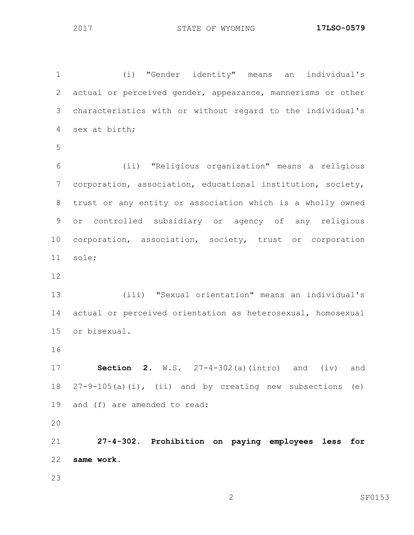(i) "Gender identity" means an individual's actual or perceived gender, appearance, mannerisms or other characteristics with or without regard to the individual's sex at birth; (ii) "Religious organization" means a religious corporation, association, educational institution, society, trust or any entity or association which is a wholly owned

 or controlled subsidiary or agency of any religious corporation, association, society, trust or corporation sole;

 (iii) "Sexual orientation" means an individual's actual or perceived orientation as heterosexual, homosexual or bisexual.

 **Section 2.** W.S. 27-4-302(a)(intro) and (iv) and 27-9-105(a)(i), (ii) and by creating new subsections (e) and (f) are amended to read:

 **27-4-302. Prohibition on paying employees less for same work.**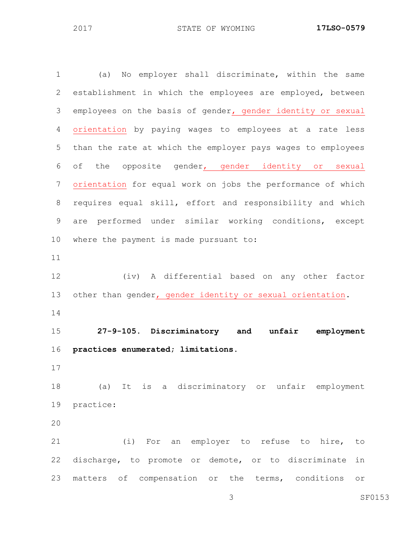(a) No employer shall discriminate, within the same establishment in which the employees are employed, between employees on the basis of gender, gender identity or sexual orientation by paying wages to employees at a rate less than the rate at which the employer pays wages to employees of the opposite gender, gender identity or sexual orientation for equal work on jobs the performance of which requires equal skill, effort and responsibility and which are performed under similar working conditions, except where the payment is made pursuant to: (iv) A differential based on any other factor other than gender, gender identity or sexual orientation. **27-9-105. Discriminatory and unfair employment practices enumerated; limitations.** (a) It is a discriminatory or unfair employment practice: (i) For an employer to refuse to hire, to discharge, to promote or demote, or to discriminate in matters of compensation or the terms, conditions or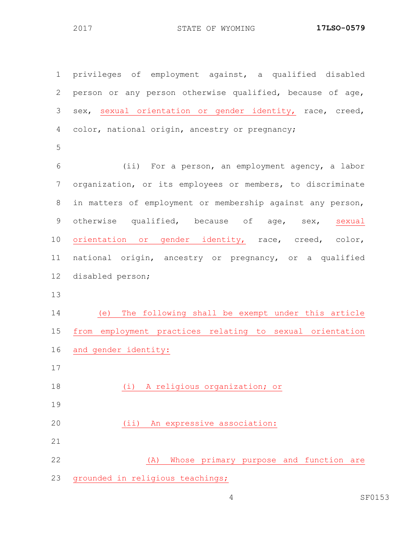privileges of employment against, a qualified disabled person or any person otherwise qualified, because of age, sex, sexual orientation or gender identity, race, creed, color, national origin, ancestry or pregnancy; (ii) For a person, an employment agency, a labor organization, or its employees or members, to discriminate in matters of employment or membership against any person, 9 otherwise qualified, because of age, sex, sexual orientation or gender identity, race, creed, color, national origin, ancestry or pregnancy, or a qualified disabled person; (e) The following shall be exempt under this article from employment practices relating to sexual orientation and gender identity: (i) A religious organization; or (ii) An expressive association: (A) Whose primary purpose and function are grounded in religious teachings;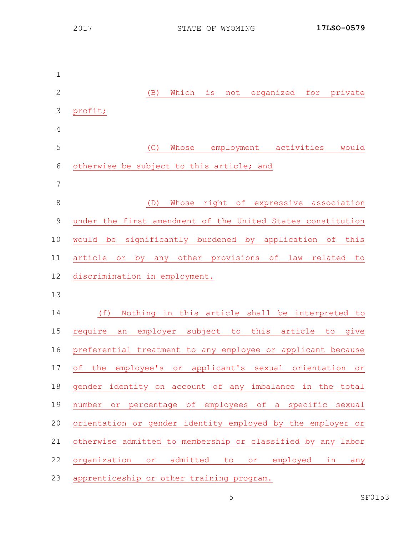(B) Which is not organized for private profit; (C) Whose employment activities would otherwise be subject to this article; and (D) Whose right of expressive association under the first amendment of the United States constitution would be significantly burdened by application of this article or by any other provisions of law related to discrimination in employment. (f) Nothing in this article shall be interpreted to require an employer subject to this article to give preferential treatment to any employee or applicant because of the employee's or applicant's sexual orientation or gender identity on account of any imbalance in the total number or percentage of employees of a specific sexual orientation or gender identity employed by the employer or otherwise admitted to membership or classified by any labor organization or admitted to or employed in any apprenticeship or other training program.